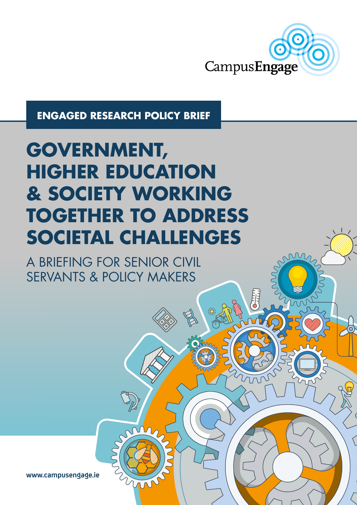

**ENGAGED RESEARCH POLICY BRIEF**

# **GOVERNMENT, HIGHER EDUCATION & SOCIETY WORKING TOGETHER TO ADDRESS SOCIETAL CHALLENGES**

A BRIEFING FOR SENIOR CIVIL SERVANTS & POLICY MAKERS

**www.campusengage.ie**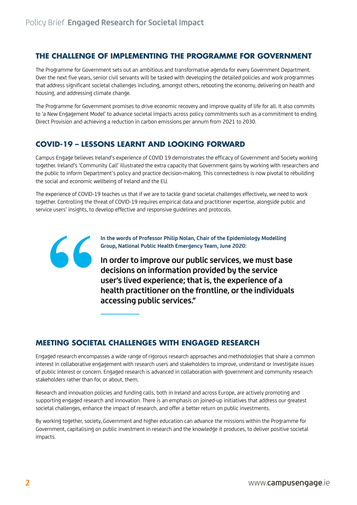### **THE CHALLENGE OF IMPLEMENTING THE PROGRAMME FOR GOVERNMENT**

The Programme for Government sets out an ambitious and transformative agenda for every Government Department. Over the next five years, senior civil servants will be tasked with developing the detailed policies and work programmes that address significant societal challenges including, amongst others, rebooting the economy, delivering on health and housing, and addressing climate change.

The Programme for Government promises to drive economic recovery and improve quality of life for all. It also commits to 'a New Engagement Model' to advance societal impacts across policy commitments such as a commitment to ending Direct Provision and achieving a reduction in carbon emissions per annum from 2021 to 2030.

# **COVID-19 – LESSONS LEARNT AND LOOKING FORWARD**

Campus Engage believes Ireland's experience of COVID 19 demonstrates the efficacy of Government and Society working together. Ireland's 'Community Call' illustrated the extra capacity that Government gains by working with researchers and the public to inform Department's policy and practice decision-making. This connectedness is now pivotal to rebuilding the social and economic wellbeing of Ireland and the EU.

The experience of COVID-19 teaches us that if we are to tackle grand societal challenges effectively, we need to work together. Controlling the threat of COVID-19 requires empirical data and practitioner expertise, alongside public and service users' insights, to develop effective and responsive guidelines and protocols.



**In the words of Professor Philip Nolan, Chair of the Epidemiology Modelling Group, National Public Health Emergency Team, June 2020:**

In order to improve our public services, we must base decisions on information provided by the service user's lived experience; that is, the experience of a health practitioner on the frontline, or the individuals accessing public services."

#### **MEETING SOCIETAL CHALLENGES WITH ENGAGED RESEARCH**

Engaged research encompasses a wide range of rigorous research approaches and methodologies that share a common interest in collaborative engagement with research users and stakeholders to improve, understand or investigate issues of public interest or concern. Engaged research is advanced in collaboration with government and community research stakeholders rather than for, or about, them.

Research and innovation policies and funding calls, both in Ireland and across Europe, are actively promoting and supporting engaged research and innovation. There is an emphasis on joined-up initiatives that address our greatest societal challenges, enhance the impact of research, and offer a better return on public investments.

By working together, society, Government and higher education can advance the missions within the Programme for Government, capitalising on public investment in research and the knowledge it produces, to deliver positive societal impacts.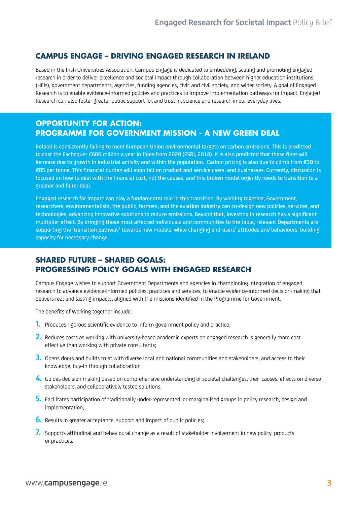#### **CAMPUS ENGAGE – DRIVING ENGAGED RESEARCH IN IRELAND**

Based in the Irish Universities Association, Campus Engage is dedicated to embedding, scaling and promoting engaged research in order to deliver excellence and societal impact through collaboration between higher education institutions (HEIs), government departments, agencies, funding agencies, civic and civil society, and wider society. A goal of Engaged Research is to enable evidence-informed policies and practices to improve implementation pathways for impact. Engaged Research can also foster greater public support for, and trust in, science and research in our everyday lives.

#### **OPPORTUNITY FOR ACTION: PROGRAMME FOR GOVERNMENT MISSION - A NEW GREEN DEAL**

Ireland is consistently failing to meet European Union environmental targets on carbon emissions. This is predicted to cost the Exchequer €600 million a year in fines from 2020 (ESRI, 2018). It is also predicted that these fines will increase due to growth in industrial activity and within the population. Carbon pricing is also due to climb from €30 to €85 per tonne. This financial burden will soon fall on product and service users, and businesses. Currently, discussion is focused on how to deal with the financial cost, not the causes, and this broken model urgently needs to transition to a greener and fairer deal.

Engaged research for impact can play a fundamental role in this transition. By working together, Government, researchers, environmentalists, the public, farmers, and the aviation industry can co-design new policies, services, and technologies, advancing innovative solutions to reduce emissions. Beyond that, investing in research has a significant multiplier effect. By bringing those most affected individuals and communities to the table, relevant Departments are supporting the 'transition pathway' towards new models, while changing end-users' attitudes and behaviours, building capacity for necessary change.

# **SHARED FUTURE – SHARED GOALS: PROGRESSING POLICY GOALS WITH ENGAGED RESEARCH**

Campus Engage wishes to support Government Departments and agencies in championing integration of engaged research to advance evidence-informed policies, practices and services, to enable evidence-informed decision-making that delivers real and lasting impacts, aligned with the missions identified in the Programme for Government.

The benefits of Working together include:

- 1. Produces rigorous scientific evidence to inform government policy and practice;
- 2. Reduces costs as working with university-based academic experts on engaged research is generally more cost effective than working with private consultants;
- 3. Opens doors and builds trust with diverse local and national communities and stakeholders, and access to their knowledge, buy-in through collaboration;
- 4. Guides decision making based on comprehensive understanding of societal challenges, their causes, effects on diverse stakeholders, and collaboratively tested solutions;
- 5. Facilitates participation of traditionally under-represented, or marginalised groups in policy research, design and implementation;
- **6.** Results in greater acceptance, support and impact of public policies;
- 7. Supports attitudinal and behavioural change as a result of stakeholder involvement in new policy, products or practices.